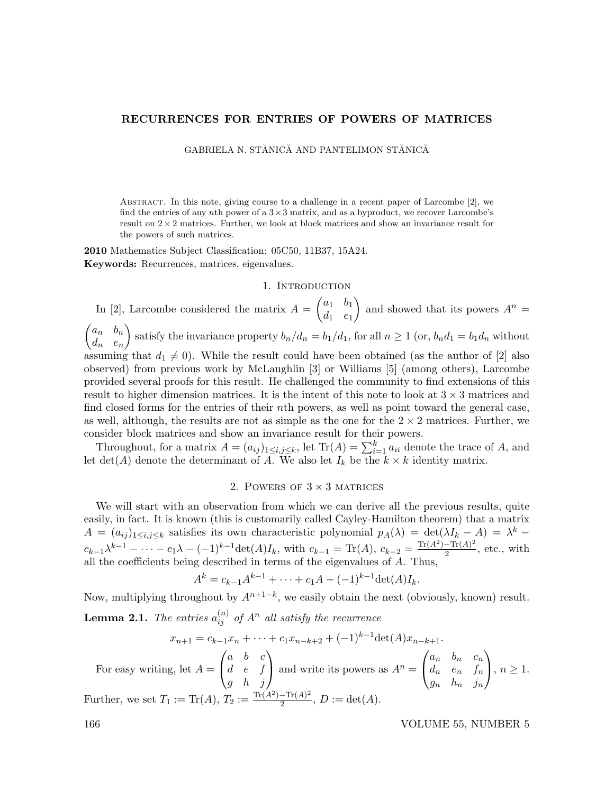GABRIELA N. STĂNICĂ AND PANTELIMON STĂNICĂ

Abstract. In this note, giving course to a challenge in a recent paper of Larcombe [2], we find the entries of any nth power of a  $3 \times 3$  matrix, and as a byproduct, we recover Larcombe's result on  $2 \times 2$  matrices. Further, we look at block matrices and show an invariance result for the powers of such matrices.

2010 Mathematics Subject Classification: 05C50, 11B37, 15A24. Keywords: Recurrences, matrices, eigenvalues.

### 1. INTRODUCTION

In [2], Larcombe considered the matrix  $A = \begin{pmatrix} a_1 & b_1 \\ a & b_1 \end{pmatrix}$  $d_1$   $e_1$ ) and showed that its powers  $A^n =$  $\int a_n$   $b_n$  $d_n$   $e_n$ satisfy the invariance property  $b_n/d_n = b_1/d_1$ , for all  $n \ge 1$  (or,  $b_n d_1 = b_1 d_n$  without assuming that  $d_1 \neq 0$ ). While the result could have been obtained (as the author of [2] also observed) from previous work by McLaughlin [3] or Williams [5] (among others), Larcombe provided several proofs for this result. He challenged the community to find extensions of this result to higher dimension matrices. It is the intent of this note to look at  $3 \times 3$  matrices and find closed forms for the entries of their nth powers, as well as point toward the general case, as well, although, the results are not as simple as the one for the  $2 \times 2$  matrices. Further, we consider block matrices and show an invariance result for their powers.

Throughout, for a matrix  $A = (a_{ij})_{1 \le i,j \le k}$ , let  $\text{Tr}(A) = \sum_{i=1}^{k} a_{ii}$  denote the trace of A, and let  $\det(A)$  denote the determinant of A. We also let  $I_k$  be the  $k \times k$  identity matrix.

# 2. POWERS OF  $3 \times 3$  matrices

We will start with an observation from which we can derive all the previous results, quite easily, in fact. It is known (this is customarily called Cayley-Hamilton theorem) that a matrix  $A = (a_{ij})_{1 \le i,j \le k}$  satisfies its own characteristic polynomial  $p_A(\lambda) = \det(\lambda I_k - A) = \lambda^k$  $c_{k-1}\lambda^{k-1} - \cdots - c_1\lambda - (-1)^{k-1}\det(A)I_k$ , with  $c_{k-1} = \text{Tr}(A)$ ,  $c_{k-2} = \frac{\text{Tr}(A^2) - \text{Tr}(A)^2}{2}$  $\frac{-\text{ir}(A)}{2}$ , etc., with all the coefficients being described in terms of the eigenvalues of A. Thus,

$$
A^k = c_{k-1}A^{k-1} + \dots + c_1A + (-1)^{k-1}\det(A)I_k.
$$

Now, multiplying throughout by  $A^{n+1-k}$ , we easily obtain the next (obviously, known) result. **Lemma 2.1.** The entries  $a_{ij}^{(n)}$  of  $A^n$  all satisfy the recurrence

$$
x_{n+1} = c_{k-1}x_n + \dots + c_1x_{n-k+2} + (-1)^{k-1} \det(A)x_{n-k+1}.
$$
  
For easy writing, let  $A = \begin{pmatrix} a & b & c \\ d & e & f \\ g & h & j \end{pmatrix}$  and write its powers as  $A^n = \begin{pmatrix} a_n & b_n & c_n \\ d_n & e_n & f_n \\ g_n & h_n & j_n \end{pmatrix}$ ,  $n \ge 1$ .  
Further, we set  $T_1 := \text{Tr}(A)$ ,  $T_2 := \frac{\text{Tr}(A^2) - \text{Tr}(A)^2}{2}$ ,  $D := \det(A)$ .

166 VOLUME 55, NUMBER 5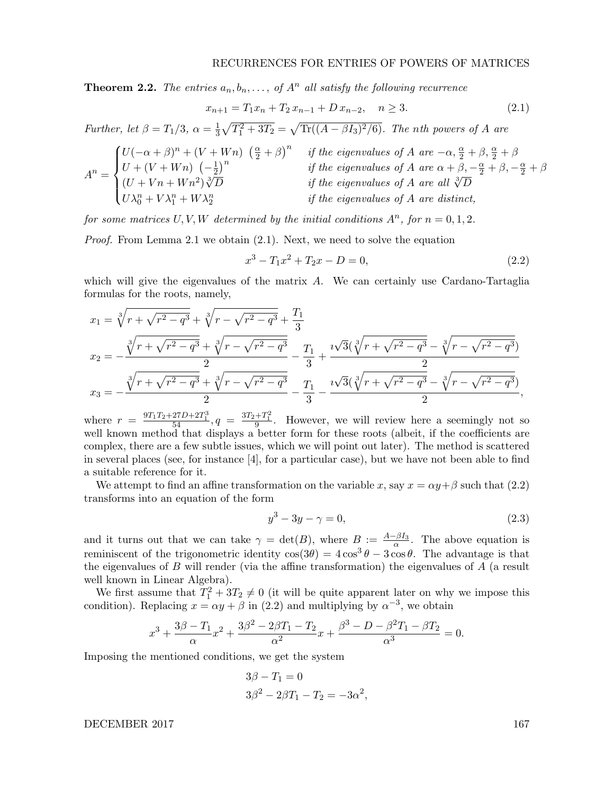**Theorem 2.2.** The entries  $a_n, b_n, \ldots,$  of  $A^n$  all satisfy the following recurrence

$$
x_{n+1} = T_1 x_n + T_2 x_{n-1} + D x_{n-2}, \quad n \ge 3. \tag{2.1}
$$

Further, let  $\beta = T_1/3$ ,  $\alpha = \frac{1}{3}$  $\frac{1}{3}\sqrt{T_1^2+3T_2}=\sqrt{\text{Tr}((A-\beta I_3)^2/6)}$ . The nth powers of A are

$$
A^{n} = \begin{cases} U(-\alpha + \beta)^{n} + (V + Wn) \left(\frac{\alpha}{2} + \beta\right)^{n} & \text{if the eigenvalues of } A \text{ are } -\alpha, \frac{\alpha}{2} + \beta, \frac{\alpha}{2} + \beta \\ U + (V + Wn) \left(-\frac{1}{2}\right)^{n} & \text{if the eigenvalues of } A \text{ are } \alpha + \beta, -\frac{\alpha}{2} + \beta, -\frac{\alpha}{2} + \beta \\ (U + Vn + Wn^{2})\sqrt[3]{D} & \text{if the eigenvalues of } A \text{ are all } \sqrt[3]{D} \\ U\lambda_{0}^{n} + V\lambda_{1}^{n} + W\lambda_{2}^{n} & \text{if the eigenvalues of } A \text{ are distinct,} \end{cases}
$$

for some matrices U, V, W determined by the initial conditions  $A<sup>n</sup>$ , for  $n = 0, 1, 2$ .

Proof. From Lemma 2.1 we obtain (2.1). Next, we need to solve the equation

$$
x^3 - T_1 x^2 + T_2 x - D = 0,\t\t(2.2)
$$

which will give the eigenvalues of the matrix  $A$ . We can certainly use Cardano-Tartaglia formulas for the roots, namely,

$$
x_1 = \sqrt[3]{r + \sqrt{r^2 - q^3}} + \sqrt[3]{r - \sqrt{r^2 - q^3}} + \frac{T_1}{3}
$$
  
\n
$$
x_2 = -\frac{\sqrt[3]{r + \sqrt{r^2 - q^3}} + \sqrt[3]{r - \sqrt{r^2 - q^3}}}{2} - \frac{T_1}{3} + \frac{i\sqrt{3}(\sqrt[3]{r + \sqrt{r^2 - q^3}} - \sqrt[3]{r - \sqrt{r^2 - q^3}})}{2}
$$
  
\n
$$
x_3 = -\frac{\sqrt[3]{r + \sqrt{r^2 - q^3}} + \sqrt[3]{r - \sqrt{r^2 - q^3}}}{2} - \frac{T_1}{3} - \frac{i\sqrt{3}(\sqrt[3]{r + \sqrt{r^2 - q^3}} - \sqrt[3]{r - \sqrt{r^2 - q^3}})}{2},
$$

where  $r = \frac{9T_1T_2+27D+2T_1^3}{54}$ ,  $q = \frac{3T_2+T_1^2}{9}$ . However, we will review here a seemingly not so well known method that displays a better form for these roots (albeit, if the coefficients are complex, there are a few subtle issues, which we will point out later). The method is scattered in several places (see, for instance [4], for a particular case), but we have not been able to find a suitable reference for it.

We attempt to find an affine transformation on the variable x, say  $x = \alpha y + \beta$  such that (2.2) transforms into an equation of the form

$$
y^3 - 3y - \gamma = 0,\t\t(2.3)
$$

and it turns out that we can take  $\gamma = \det(B)$ , where  $B := \frac{A - \beta I_3}{\alpha}$  $\frac{-\beta I_3}{\alpha}$ . The above equation is reminiscent of the trigonometric identity  $cos(3\theta) = 4 cos^3 \theta - 3 cos \theta$ . The advantage is that the eigenvalues of  $B$  will render (via the affine transformation) the eigenvalues of  $A$  (a result well known in Linear Algebra).

We first assume that  $T_1^2 + 3T_2 \neq 0$  (it will be quite apparent later on why we impose this condition). Replacing  $x = \alpha y + \beta$  in (2.2) and multiplying by  $\alpha^{-3}$ , we obtain

$$
x^{3} + \frac{3\beta - T_{1}}{\alpha}x^{2} + \frac{3\beta^{2} - 2\beta T_{1} - T_{2}}{\alpha^{2}}x + \frac{\beta^{3} - D - \beta^{2}T_{1} - \beta T_{2}}{\alpha^{3}} = 0.
$$

Imposing the mentioned conditions, we get the system

$$
3\beta - T_1 = 0
$$
  
 
$$
3\beta^2 - 2\beta T_1 - T_2 = -3\alpha^2,
$$

DECEMBER 2017 167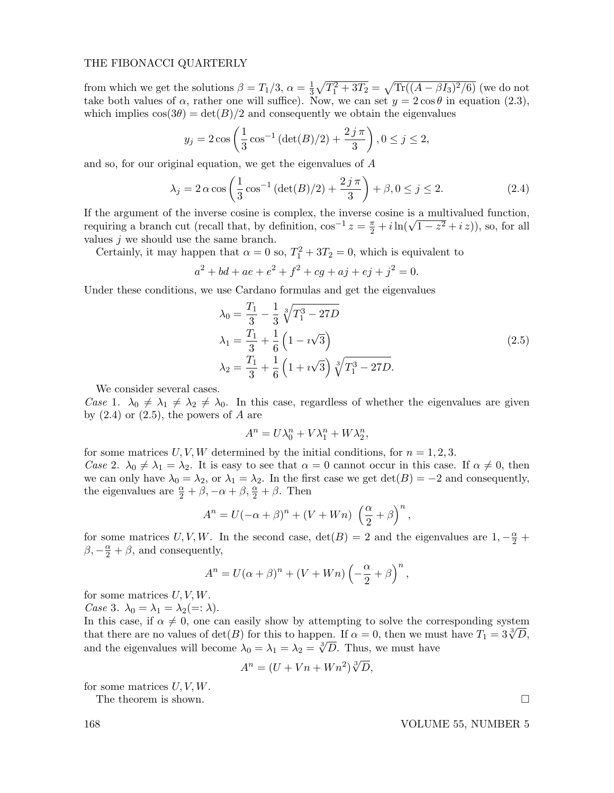#### THE FIBONACCI QUARTERLY

from which we get the solutions  $\beta = T_1/3$ ,  $\alpha = \frac{1}{3}$  $\frac{1}{3}\sqrt{T_1^2 + 3T_2} = \sqrt{\text{Tr}((A - \beta I_3)^2/6)}$  (we do not take both values of  $\alpha$ , rather one will suffice). Now, we can set  $y = 2\cos\theta$  in equation (2.3), which implies  $cos(3\theta) = det(B)/2$  and consequently we obtain the eigenvalues

$$
y_j = 2\cos\left(\frac{1}{3}\cos^{-1}(\det(B)/2) + \frac{2j\pi}{3}\right), 0 \le j \le 2,
$$

and so, for our original equation, we get the eigenvalues of A

$$
\lambda_j = 2 \alpha \cos \left( \frac{1}{3} \cos^{-1} \left( \det(B)/2 \right) + \frac{2j\pi}{3} \right) + \beta, 0 \le j \le 2. \tag{2.4}
$$

If the argument of the inverse cosine is complex, the inverse cosine is a multivalued function, If the argument of the inverse cosine is complex, the inverse cosine is a multivalued function, requiring a branch cut (recall that, by definition,  $\cos^{-1} z = \frac{\pi}{2} + i \ln(\sqrt{1 - z^2} + i z)$ ), so, for all values  $j$  we should use the same branch.

Certainly, it may happen that  $\alpha = 0$  so,  $T_1^2 + 3T_2 = 0$ , which is equivalent to

$$
a^2 + bd + ae + e^2 + f^2 + cg + aj + ej + j^2 = 0.
$$

Under these conditions, we use Cardano formulas and get the eigenvalues

$$
\lambda_0 = \frac{T_1}{3} - \frac{1}{3} \sqrt[3]{T_1^3 - 27D}
$$
  
\n
$$
\lambda_1 = \frac{T_1}{3} + \frac{1}{6} \left( 1 - i \sqrt{3} \right)
$$
  
\n
$$
\lambda_2 = \frac{T_1}{3} + \frac{1}{6} \left( 1 + i \sqrt{3} \right) \sqrt[3]{T_1^3 - 27D}.
$$
\n(2.5)

We consider several cases.

Case 1.  $\lambda_0 \neq \lambda_1 \neq \lambda_2 \neq \lambda_0$ . In this case, regardless of whether the eigenvalues are given by  $(2.4)$  or  $(2.5)$ , the powers of A are

$$
A^n = U\lambda_0^n + V\lambda_1^n + W\lambda_2^n,
$$

for some matrices U, V, W determined by the initial conditions, for  $n = 1, 2, 3$ . Case 2.  $\lambda_0 \neq \lambda_1 = \lambda_2$ . It is easy to see that  $\alpha = 0$  cannot occur in this case. If  $\alpha \neq 0$ , then we can only have  $\lambda_0 = \lambda_2$ , or  $\lambda_1 = \lambda_2$ . In the first case we get  $\det(B) = -2$  and consequently, the eigenvalues are  $\frac{\alpha}{2} + \beta$ ,  $-\alpha + \beta$ ,  $\frac{\alpha}{2} + \beta$ . Then

$$
A^{n} = U(-\alpha + \beta)^{n} + (V + Wn) \left(\frac{\alpha}{2} + \beta\right)^{n},
$$

for some matrices U, V, W. In the second case,  $det(B) = 2$  and the eigenvalues are  $1, -\frac{\alpha}{2} +$  $\beta, -\frac{\alpha}{2} + \beta$ , and consequently,

$$
A^{n} = U(\alpha + \beta)^{n} + (V + Wn) \left(-\frac{\alpha}{2} + \beta\right)^{n},
$$

for some matrices  $U, V, W$ .

Case 3.  $\lambda_0 = \lambda_1 = \lambda_2 =: \lambda$ .

In this case, if  $\alpha \neq 0$ , one can easily show by attempting to solve the corresponding system that there are no values of  $\det(B)$  for this to happen. If  $\alpha = 0$ , then we must have  $T_1 = 3\sqrt[3]{D}$ , that there are no values of  $\det(B)$  for this to happen. If  $\alpha = 0$ , then we must have and the eigenvalues will become  $\lambda_0 = \lambda_1 = \lambda_2 = \sqrt[3]{D}$ . Thus, we must have

$$
A^n = (U + Vn + Wn^2)\sqrt[3]{D},
$$

for some matrices  $U, V, W$ .

The theorem is shown.  $\square$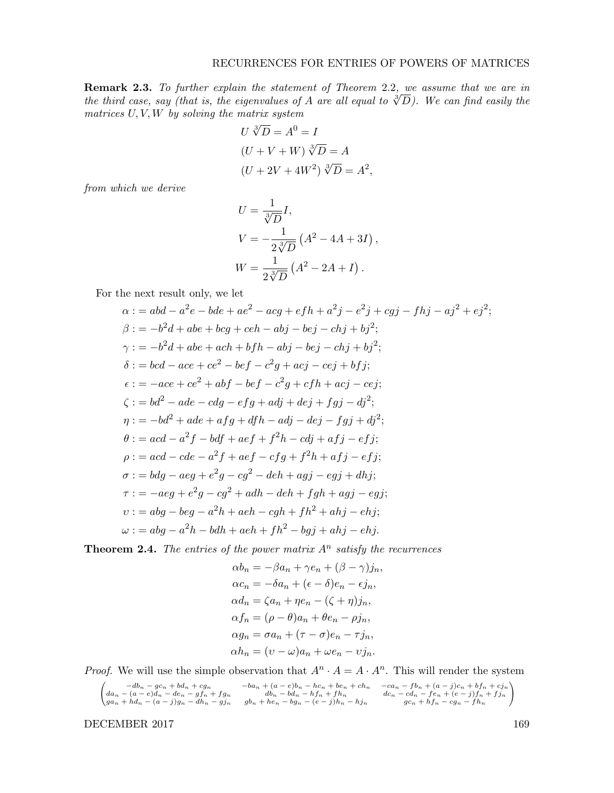Remark 2.3. To further explain the statement of Theorem 2.2, we assume that we are in the third case, say (that is, the eigenvalues of A are all equal to  $\sqrt[3]{D}$ ). We can find easily the matrices  $U, V, W$  by solving the matrix system

$$
U \sqrt[3]{D} = A^0 = I
$$
  
(U + V + W)  $\sqrt[3]{D} = A$   
(U + 2V + 4W<sup>2</sup>)  $\sqrt[3]{D} = A^2$ ,

from which we derive

$$
U = \frac{1}{\sqrt[3]{D}}I,
$$
  
\n
$$
V = -\frac{1}{2\sqrt[3]{D}} (A^2 - 4A + 3I),
$$
  
\n
$$
W = \frac{1}{2\sqrt[3]{D}} (A^2 - 2A + I).
$$

For the next result only, we let

$$
\alpha := abd - a^2e - bde + ae^2 - acg + efh + a^2j - e^2j + cgj - fhj - aj^2 + ej^2;
$$
  
\n
$$
\beta := -b^2d + abe + bcg + ceh - abj - bej - chj + bj^2;
$$
  
\n
$$
\gamma := -b^2d + abe + ach + bfh - abj - bej - chj + bj^2;
$$
  
\n
$$
\delta := bcd - ace + ce^2 - bef - c^2g + acj - cej + bfj;
$$
  
\n
$$
\epsilon := -ace + ce^2 + abf - bef - c^2g + cfh + acj - cej;
$$
  
\n
$$
\zeta := bd^2 - ade - cdg - efg + adj + dej + fgj - dj^2;
$$
  
\n
$$
\eta := -bd^2 + ade + afg + dfh - adj - dej - fgj + dj^2;
$$
  
\n
$$
\theta := acd - a^2f - bdf + aef + f^2h - cdj + afj - efj;
$$
  
\n
$$
\rho := acd - cde - a^2f + aef - cfg + f^2h + afj - efj;
$$
  
\n
$$
\sigma := bdg - aeg + e^2g - cg^2 - deh + agj - egj + dhj;
$$
  
\n
$$
\tau := -aeg + e^2g - cg^2 + adh - deh + fgh + agj - egj;
$$
  
\n
$$
v := abg - beg - a^2h + aeh - cgh + fh^2 + ahj - ehj;
$$
  
\n
$$
\omega := abg - a^2h - bdh + aeh + fh^2 - bgj + ahj - ehj.
$$

**Theorem 2.4.** The entries of the power matrix  $A<sup>n</sup>$  satisfy the recurrences

$$
\alpha b_n = -\beta a_n + \gamma e_n + (\beta - \gamma) j_n,
$$
  
\n
$$
\alpha c_n = -\delta a_n + (\epsilon - \delta) e_n - \epsilon j_n,
$$
  
\n
$$
\alpha d_n = \zeta a_n + \eta e_n - (\zeta + \eta) j_n,
$$
  
\n
$$
\alpha f_n = (\rho - \theta) a_n + \theta e_n - \rho j_n,
$$
  
\n
$$
\alpha g_n = \sigma a_n + (\tau - \sigma) e_n - \tau j_n,
$$
  
\n
$$
\alpha h_n = (\upsilon - \omega) a_n + \omega e_n - \upsilon j_n.
$$

*Proof.* We will use the simple observation that  $A^n \cdot A = A \cdot A^n$ . This will render the system

$$
\begin{pmatrix}\n-db_n - gc_n + bd_n + cg_n & -ba_n + (a - e)b_n - hc_n + beh_n + ch_n & -ca_n - fb_n + (a - j)c_n + bf_n + cj_n \\
da_n - (a - e)d_n - de_n - gf_n + fg_n & db_n - bd_n - hf_n + fh_n & dc_n - cd_n - fe_n + (e - j)f_n + fj_n \\
ga_n + hd_n - (a - j)g_n - dh_n - gj_n & gb_n + he_n - bg_n - (e - j)h_n - hj_n & gc_n + hf_n - cg_n - fh_n\n\end{pmatrix}
$$

DECEMBER 2017 169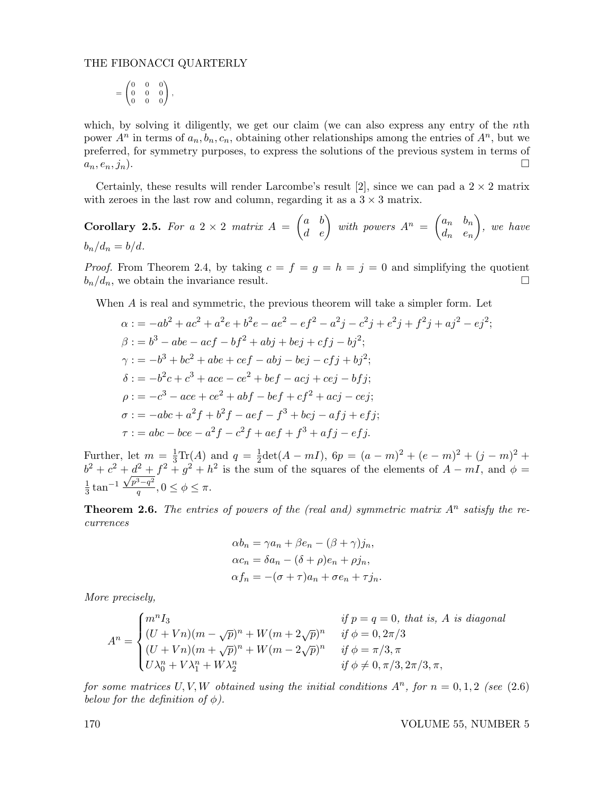THE FIBONACCI QUARTERLY

$$
=\begin{pmatrix} 0 & 0 & 0 \\ 0 & 0 & 0 \\ 0 & 0 & 0 \end{pmatrix},
$$

which, by solving it diligently, we get our claim (we can also express any entry of the *n*th power  $A^n$  in terms of  $a_n, b_n, c_n$ , obtaining other relationships among the entries of  $A^n$ , but we preferred, for symmetry purposes, to express the solutions of the previous system in terms of  $a_n, e_n, j_n$ ).

Certainly, these results will render Larcombe's result [2], since we can pad a  $2 \times 2$  matrix with zeroes in the last row and column, regarding it as a  $3 \times 3$  matrix.

**Corollary 2.5.** For a 2 × 2 matrix 
$$
A = \begin{pmatrix} a & b \\ d & e \end{pmatrix}
$$
 with powers  $A^n = \begin{pmatrix} a_n & b_n \\ d_n & e_n \end{pmatrix}$ , we have  $b_n/d_n = b/d$ .

*Proof.* From Theorem 2.4, by taking  $c = f = g = h = j = 0$  and simplifying the quotient  $b_n/d_n$ , we obtain the invariance result.

When A is real and symmetric, the previous theorem will take a simpler form. Let

$$
\alpha := -ab^2 + ac^2 + a^2e + b^2e - ae^2 - ef^2 - a^2j - c^2j + e^2j + f^2j + aj^2 - ej^2;
$$
  
\n
$$
\beta := b^3 - abe - acf - bf^2 + abj + bej + cfj - bj^2;
$$
  
\n
$$
\gamma := -b^3 + bc^2 + abe + cef - abj - bej - cfj + bj^2;
$$
  
\n
$$
\delta := -b^2c + c^3 + ace - ce^2 + bef - acj + cej - bfj;
$$
  
\n
$$
\rho := -c^3 - ace + ce^2 + abf - bef + cf^2 + acj - cej;
$$
  
\n
$$
\sigma := -abc + a^2f + b^2f - aef - f^3 + bcj - afj + efj;
$$
  
\n
$$
\tau := abc - bce - a^2f - c^2f + aef + f^3 + afj - efj.
$$

Further, let  $m = \frac{1}{3}\text{Tr}(A)$  and  $q = \frac{1}{2}$  $\frac{1}{2} \det(A - mI), \; 6p = (a - m)^2 + (e - m)^2 + (j - m)^2 +$  $b^2+c^2+d^2+f^2+g^2+h^2$  is the sum of the squares of the elements of  $A-mI$ , and  $\phi=$ 1  $\frac{1}{3}$  tan<sup>-1</sup>  $+\frac{a^{2} + b^{2}}{\sqrt{p^{3} - q^{2}}}$  $\frac{q}{q}$ ,  $0 \leq \phi \leq \pi$ .

**Theorem 2.6.** The entries of powers of the (real and) symmetric matrix  $A^n$  satisfy the recurrences

$$
\alpha b_n = \gamma a_n + \beta e_n - (\beta + \gamma) j_n,
$$
  
\n
$$
\alpha c_n = \delta a_n - (\delta + \rho) e_n + \rho j_n,
$$
  
\n
$$
\alpha f_n = -(\sigma + \tau) a_n + \sigma e_n + \tau j_n.
$$

More precisely,

$$
A^n = \begin{cases} m^n I_3 & \text{if } p = q = 0, \text{ that is, } A \text{ is diagonal} \\ (U + Vn)(m - \sqrt{p})^n + W(m + 2\sqrt{p})^n & \text{if } \phi = 0, 2\pi/3 \\ (U + Vn)(m + \sqrt{p})^n + W(m - 2\sqrt{p})^n & \text{if } \phi = \pi/3, \pi \\ U\lambda_0^n + V\lambda_1^n + W\lambda_2^n & \text{if } \phi \neq 0, \pi/3, 2\pi/3, \pi, \end{cases}
$$

for some matrices U, V, W obtained using the initial conditions  $A<sup>n</sup>$ , for  $n = 0, 1, 2$  (see (2.6) below for the definition of  $\phi$ ).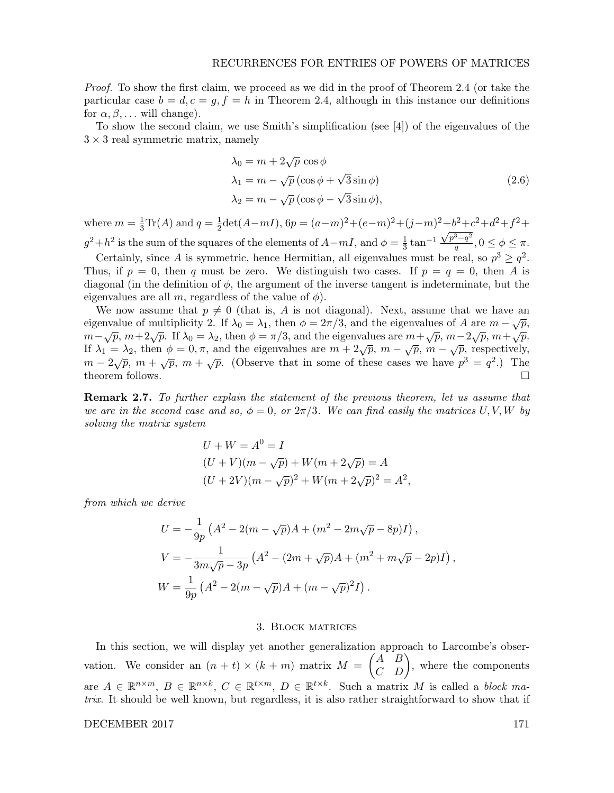Proof. To show the first claim, we proceed as we did in the proof of Theorem 2.4 (or take the particular case  $b = d, c = g, f = h$  in Theorem 2.4, although in this instance our definitions for  $\alpha, \beta, \ldots$  will change).

To show the second claim, we use Smith's simplification (see [4]) of the eigenvalues of the  $3 \times 3$  real symmetric matrix, namely

$$
\lambda_0 = m + 2\sqrt{p} \cos \phi
$$
  
\n
$$
\lambda_1 = m - \sqrt{p} (\cos \phi + \sqrt{3} \sin \phi)
$$
  
\n
$$
\lambda_2 = m - \sqrt{p} (\cos \phi - \sqrt{3} \sin \phi),
$$
\n(2.6)

where  $m = \frac{1}{3}\text{Tr}(A)$  and  $q = \frac{1}{2}$  $\frac{1}{2}\det(A-mI), 6p = (a-m)^2 + (e-m)^2 + (j-m)^2 + b^2 + c^2 + d^2 + f^2 +$  $g^2 + h^2$  is the sum of the squares of the elements of  $A - mI$ , and  $\phi = \frac{1}{3}$  $rac{1}{3}$  tan<sup>-1</sup>  $\frac{\sqrt{p^3-q^2}}{q}$  $\frac{\sigma -q^2}{q}, 0 \leq \phi \leq \pi.$ 

Certainly, since A is symmetric, hence Hermitian, all eigenvalues must be real, so  $p^3 \geq q^2$ . Thus, if  $p = 0$ , then q must be zero. We distinguish two cases. If  $p = q = 0$ , then A is diagonal (in the definition of  $\phi$ , the argument of the inverse tangent is indeterminate, but the eigenvalues are all m, regardless of the value of  $\phi$ ).

We now assume that  $p \neq 0$  (that is, A is not diagonal). Next, assume that we have an eigenvalue of multiplicity 2. If  $\lambda_0 = \lambda_1$ , then  $\phi = 2\pi/3$ , and the eigenvalues of A are  $m - \sqrt{p}$ , eigenvalue of multiplicity 2. If  $\lambda_0 = \lambda_1$ , then  $\varphi = 2\lambda/3$ , and the eigenvalues of A are  $m - \sqrt{p}$ ,  $m + 2\sqrt{p}$ . If  $\lambda_0 = \lambda_2$ , then  $\phi = \pi/3$ , and the eigenvalues are  $m + \sqrt{p}$ ,  $m - 2\sqrt{p}$ ,  $m + \sqrt{p}$ . If  $\lambda_1 = \lambda_2$ , then  $\phi = 0, \pi$ , and the eigenvalues are  $m + 2\sqrt{p}$ ,  $m - \sqrt{p}$ ,  $m - \sqrt{p}$ , respectively,  $m-2\sqrt{p}$ ,  $m+\sqrt{p}$ ,  $m+\sqrt{p}$ . (Observe that in some of these cases we have  $p^3 = q^2$ .) The theorem follows.  $\Box$ 

Remark 2.7. To further explain the statement of the previous theorem, let us assume that we are in the second case and so,  $\phi = 0$ , or  $2\pi/3$ . We can find easily the matrices U, V, W by solving the matrix system

$$
U + W = A^{0} = I
$$
  
(U + V)(m -  $\sqrt{p}$ ) + W(m + 2 $\sqrt{p}$ ) = A  
(U + 2V)(m -  $\sqrt{p}$ )<sup>2</sup> + W(m + 2 $\sqrt{p}$ )<sup>2</sup> = A<sup>2</sup>,

from which we derive

$$
U = -\frac{1}{9p} \left( A^2 - 2(m - \sqrt{p})A + (m^2 - 2m\sqrt{p} - 8p)I \right),
$$
  
\n
$$
V = -\frac{1}{3m\sqrt{p} - 3p} \left( A^2 - (2m + \sqrt{p})A + (m^2 + m\sqrt{p} - 2p)I \right),
$$
  
\n
$$
W = \frac{1}{9p} \left( A^2 - 2(m - \sqrt{p})A + (m - \sqrt{p})^2 I \right).
$$

#### 3. Block matrices

In this section, we will display yet another generalization approach to Larcombe's observation. We consider an  $(n + t) \times (k + m)$  matrix  $M = \begin{pmatrix} A & B \\ C & D \end{pmatrix}$ , where the components are  $A \in \mathbb{R}^{n \times m}$ ,  $B \in \mathbb{R}^{n \times k}$ ,  $C \in \mathbb{R}^{t \times m}$ ,  $D \in \mathbb{R}^{t \times k}$ . Such a matrix M is called a block matrix. It should be well known, but regardless, it is also rather straightforward to show that if

## DECEMBER 2017 171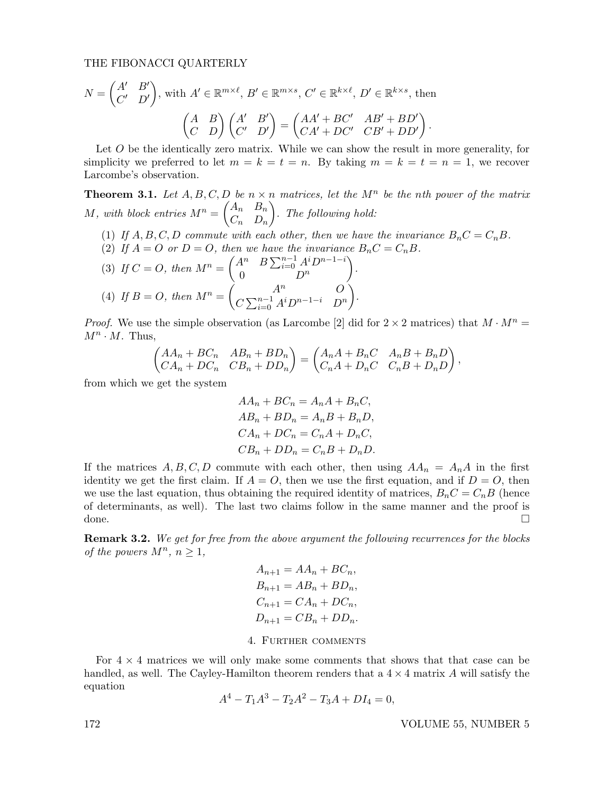THE FIBONACCI QUARTERLY

$$
N = \begin{pmatrix} A' & B' \\ C' & D' \end{pmatrix}, \text{ with } A' \in \mathbb{R}^{m \times \ell}, B' \in \mathbb{R}^{m \times s}, C' \in \mathbb{R}^{k \times \ell}, D' \in \mathbb{R}^{k \times s}, \text{ then}
$$

$$
\begin{pmatrix} A & B \\ C & D \end{pmatrix} \begin{pmatrix} A' & B' \\ C' & D' \end{pmatrix} = \begin{pmatrix} AA' + BC' & AB' + BD' \\ CA' + DC' & CB' + DD' \end{pmatrix}.
$$

Let O be the identically zero matrix. While we can show the result in more generality, for simplicity we preferred to let  $m = k = t = n$ . By taking  $m = k = t = n = 1$ , we recover Larcombe's observation.

**Theorem 3.1.** Let  $A, B, C, D$  be  $n \times n$  matrices, let the  $M^n$  be the nth power of the matrix M, with block entries  $M^n = \begin{pmatrix} A_n & B_n \\ C & D_n \end{pmatrix}$  $C_n$   $D_n$  $\bigg)$ . The following hold:

- (1) If  $A, B, C, D$  commute with each other, then we have the invariance  $B_nC = C_nB$ .
- (2) If  $A = O$  or  $D = O$ , then we have the invariance  $B_n C = C_n B$ .

(3) If 
$$
C = O
$$
, then  $M^n = \begin{pmatrix} A^n & B \sum_{i=0}^{n-1} A^i D^{n-1-i} \\ 0 & D^n \end{pmatrix}$ .  
\n(4) If  $B = O$ , then  $M^n = \begin{pmatrix} A^n & O \\ C \sum_{i=0}^{n-1} A^i D^{n-1-i} & D^n \end{pmatrix}$ .

*Proof.* We use the simple observation (as Larcombe [2] did for  $2 \times 2$  matrices) that  $M \cdot M^n =$  $M^n \cdot M$ . Thus,

$$
\begin{pmatrix} AA_n + BC_n & AB_n + BD_n \ C A_n + DC_n & CB_n + DD_n \end{pmatrix} = \begin{pmatrix} A_nA + B_nC & A_nB + B_nD \ C_nA + D_nC & C_nB + D_nD \end{pmatrix},
$$

from which we get the system

$$
AA_n + BC_n = A_nA + B_nC,
$$
  
\n
$$
AB_n + BD_n = A_nB + B_nD,
$$
  
\n
$$
CA_n + DC_n = C_nA + D_nC,
$$
  
\n
$$
CB_n + DD_n = C_nB + D_nD.
$$

If the matrices  $A, B, C, D$  commute with each other, then using  $AA_n = A_nA$  in the first identity we get the first claim. If  $A = O$ , then we use the first equation, and if  $D = O$ , then we use the last equation, thus obtaining the required identity of matrices,  $B_nC = C_nB$  (hence of determinants, as well). The last two claims follow in the same manner and the proof is done. □

**Remark 3.2.** We get for free from the above argument the following recurrences for the blocks of the powers  $M^n$ ,  $n \geq 1$ ,

$$
A_{n+1} = AA_n + BC_n,
$$
  
\n
$$
B_{n+1} = AB_n + BD_n,
$$
  
\n
$$
C_{n+1} = CA_n + DC_n,
$$
  
\n
$$
D_{n+1} = CB_n + DD_n.
$$

### 4. Further comments

For  $4 \times 4$  matrices we will only make some comments that shows that that case can be handled, as well. The Cayley-Hamilton theorem renders that a  $4 \times 4$  matrix A will satisfy the equation

$$
A^4 - T_1A^3 - T_2A^2 - T_3A + DI_4 = 0,
$$